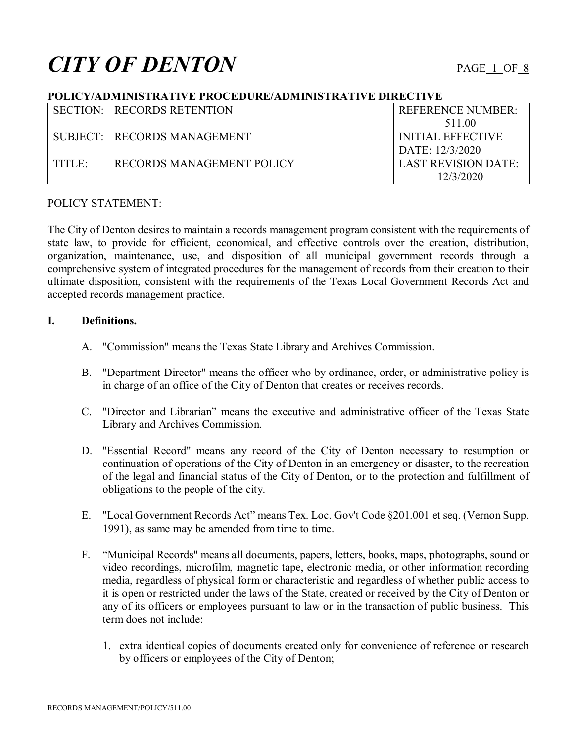# **CITY OF DENTON** PAGE 1 OF 8

## **POLICY/ADMINISTRATIVE PROCEDURE/ADMINISTRATIVE DIRECTIVE**

|        | SECTION: RECORDS RETENTION  | <b>REFERENCE NUMBER:</b>   |
|--------|-----------------------------|----------------------------|
|        |                             | 511.00                     |
|        | SUBJECT: RECORDS MANAGEMENT | INITIAL EFFECTIVE          |
|        |                             | DATE: 12/3/2020            |
| TITLE: | RECORDS MANAGEMENT POLICY   | <b>LAST REVISION DATE:</b> |
|        |                             | 12/3/2020                  |

# POLICY STATEMENT:

The City of Denton desires to maintain a records management program consistent with the requirements of state law, to provide for efficient, economical, and effective controls over the creation, distribution, organization, maintenance, use, and disposition of all municipal government records through a comprehensive system of integrated procedures for the management of records from their creation to their ultimate disposition, consistent with the requirements of the Texas Local Government Records Act and accepted records management practice.

# **I. Definitions.**

- A. "Commission" means the Texas State Library and Archives Commission.
- B. "Department Director" means the officer who by ordinance, order, or administrative policy is in charge of an office of the City of Denton that creates or receives records.
- C. "Director and Librarian" means the executive and administrative officer of the Texas State Library and Archives Commission.
- D. "Essential Record" means any record of the City of Denton necessary to resumption or continuation of operations of the City of Denton in an emergency or disaster, to the recreation of the legal and financial status of the City of Denton, or to the protection and fulfillment of obligations to the people of the city.
- E. "Local Government Records Act" means Tex. Loc. Gov't Code §201.001 et seq. (Vernon Supp. 1991), as same may be amended from time to time.
- F. "Municipal Records" means all documents, papers, letters, books, maps, photographs, sound or video recordings, microfilm, magnetic tape, electronic media, or other information recording media, regardless of physical form or characteristic and regardless of whether public access to it is open or restricted under the laws of the State, created or received by the City of Denton or any of its officers or employees pursuant to law or in the transaction of public business. This term does not include:
	- 1. extra identical copies of documents created only for convenience of reference or research by officers or employees of the City of Denton;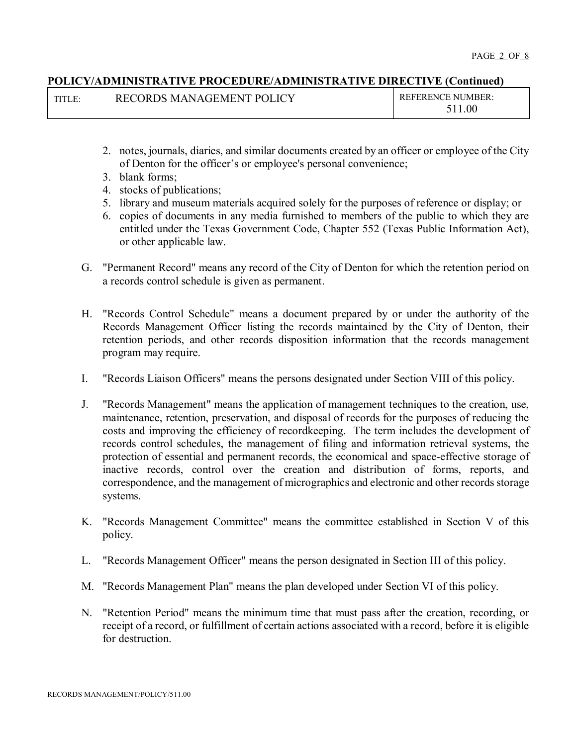| TITLE: | RECORDS MANAGEMENT POLICY | <b>REFERENCE NUMBER:</b> |
|--------|---------------------------|--------------------------|
|        |                           | 511.00                   |

- 2. notes, journals, diaries, and similar documents created by an officer or employee of the City of Denton for the officer's or employee's personal convenience;
- 3. blank forms;
- 4. stocks of publications;
- 5. library and museum materials acquired solely for the purposes of reference or display; or
- 6. copies of documents in any media furnished to members of the public to which they are entitled under the Texas Government Code, Chapter 552 (Texas Public Information Act), or other applicable law.
- G. "Permanent Record" means any record of the City of Denton for which the retention period on a records control schedule is given as permanent.
- H. "Records Control Schedule" means a document prepared by or under the authority of the Records Management Officer listing the records maintained by the City of Denton, their retention periods, and other records disposition information that the records management program may require.
- I. "Records Liaison Officers" means the persons designated under Section VIII of this policy.
- J. "Records Management" means the application of management techniques to the creation, use, maintenance, retention, preservation, and disposal of records for the purposes of reducing the costs and improving the efficiency of recordkeeping. The term includes the development of records control schedules, the management of filing and information retrieval systems, the protection of essential and permanent records, the economical and space-effective storage of inactive records, control over the creation and distribution of forms, reports, and correspondence, and the management of micrographics and electronic and other records storage systems.
- K. "Records Management Committee" means the committee established in Section V of this policy.
- L. "Records Management Officer" means the person designated in Section III of this policy.
- M. "Records Management Plan" means the plan developed under Section VI of this policy.
- N. "Retention Period" means the minimum time that must pass after the creation, recording, or receipt of a record, or fulfillment of certain actions associated with a record, before it is eligible for destruction.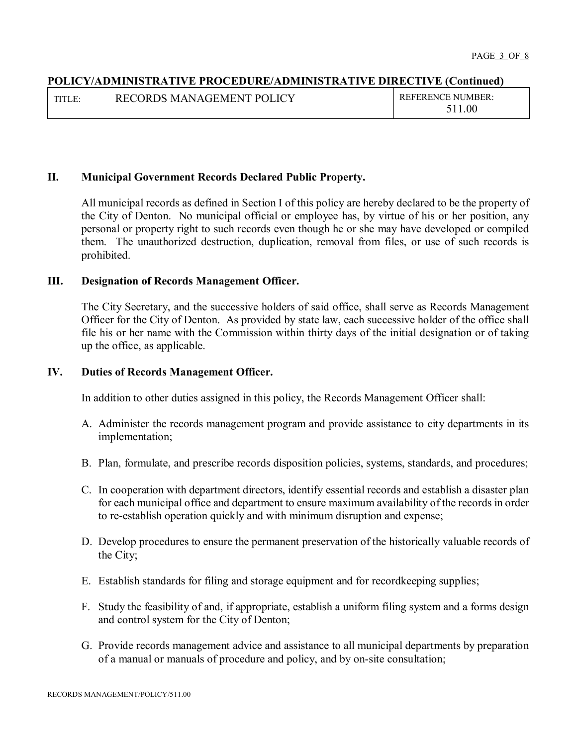| TITLE: | RECORDS MANAGEMENT POLICY | <b>REFERENCE NUMBER:</b> |
|--------|---------------------------|--------------------------|
|        |                           | 11.00                    |

#### **II. Municipal Government Records Declared Public Property.**

All municipal records as defined in Section I of this policy are hereby declared to be the property of the City of Denton. No municipal official or employee has, by virtue of his or her position, any personal or property right to such records even though he or she may have developed or compiled them. The unauthorized destruction, duplication, removal from files, or use of such records is prohibited.

#### **III. Designation of Records Management Officer.**

The City Secretary, and the successive holders of said office, shall serve as Records Management Officer for the City of Denton. As provided by state law, each successive holder of the office shall file his or her name with the Commission within thirty days of the initial designation or of taking up the office, as applicable.

#### **IV. Duties of Records Management Officer.**

In addition to other duties assigned in this policy, the Records Management Officer shall:

- A. Administer the records management program and provide assistance to city departments in its implementation;
- B. Plan, formulate, and prescribe records disposition policies, systems, standards, and procedures;
- C. In cooperation with department directors, identify essential records and establish a disaster plan for each municipal office and department to ensure maximum availability of the records in order to re-establish operation quickly and with minimum disruption and expense;
- D. Develop procedures to ensure the permanent preservation of the historically valuable records of the City;
- E. Establish standards for filing and storage equipment and for recordkeeping supplies;
- F. Study the feasibility of and, if appropriate, establish a uniform filing system and a forms design and control system for the City of Denton;
- G. Provide records management advice and assistance to all municipal departments by preparation of a manual or manuals of procedure and policy, and by on-site consultation;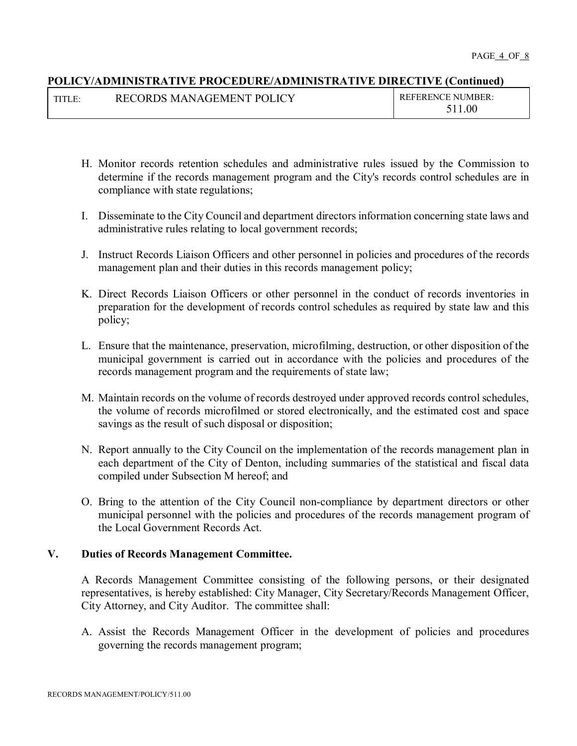| TITLE: | RECORDS MANAGEMENT POLICY | <b>REFERENCE NUMBER:</b> |
|--------|---------------------------|--------------------------|
|        |                           | 511.00                   |

- H. Monitor records retention schedules and administrative rules issued by the Commission to determine if the records management program and the City's records control schedules are in compliance with state regulations;
- I. Disseminate to the City Council and department directors information concerning state laws and administrative rules relating to local government records;
- J. Instruct Records Liaison Officers and other personnel in policies and procedures of the records management plan and their duties in this records management policy;
- K. Direct Records Liaison Officers or other personnel in the conduct of records inventories in preparation for the development of records control schedules as required by state law and this policy;
- L. Ensure that the maintenance, preservation, microfilming, destruction, or other disposition of the municipal government is carried out in accordance with the policies and procedures of the records management program and the requirements of state law;
- M. Maintain records on the volume of records destroyed under approved records control schedules, the volume of records microfilmed or stored electronically, and the estimated cost and space savings as the result of such disposal or disposition;
- N. Report annually to the City Council on the implementation of the records management plan in each department of the City of Denton, including summaries of the statistical and fiscal data compiled under Subsection M hereof; and
- O. Bring to the attention of the City Council non-compliance by department directors or other municipal personnel with the policies and procedures of the records management program of the Local Government Records Act.

# **V. Duties of Records Management Committee.**

A Records Management Committee consisting of the following persons, or their designated representatives, is hereby established: City Manager, City Secretary/Records Management Officer, City Attorney, and City Auditor. The committee shall:

A. Assist the Records Management Officer in the development of policies and procedures governing the records management program;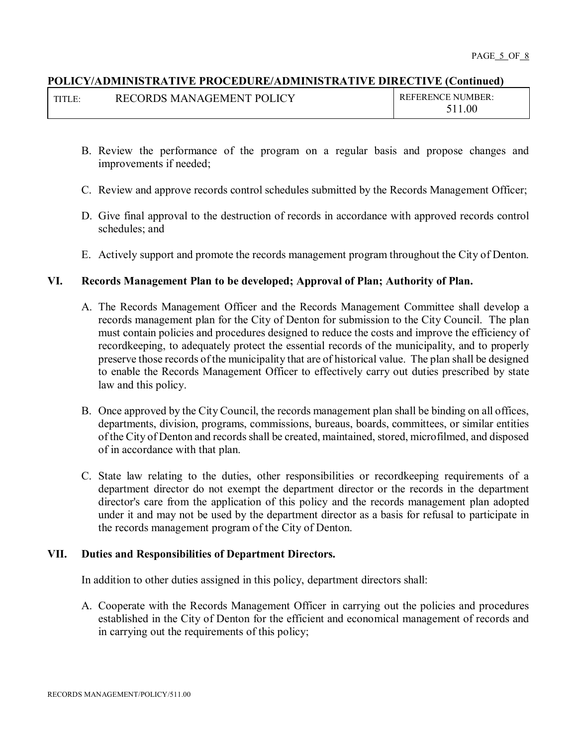| . . | RECORDS MANAGEMENT POLICY | <b>REFERENCE NUMBER:</b> |
|-----|---------------------------|--------------------------|
|     |                           | $1.00\,$                 |

- B. Review the performance of the program on a regular basis and propose changes and improvements if needed;
- C. Review and approve records control schedules submitted by the Records Management Officer;
- D. Give final approval to the destruction of records in accordance with approved records control schedules; and
- E. Actively support and promote the records management program throughout the City of Denton.

#### **VI. Records Management Plan to be developed; Approval of Plan; Authority of Plan.**

- A. The Records Management Officer and the Records Management Committee shall develop a records management plan for the City of Denton for submission to the City Council. The plan must contain policies and procedures designed to reduce the costs and improve the efficiency of recordkeeping, to adequately protect the essential records of the municipality, and to properly preserve those records of the municipality that are of historical value. The plan shall be designed to enable the Records Management Officer to effectively carry out duties prescribed by state law and this policy.
- B. Once approved by the City Council, the records management plan shall be binding on all offices, departments, division, programs, commissions, bureaus, boards, committees, or similar entities of the City of Denton and records shall be created, maintained, stored, microfilmed, and disposed of in accordance with that plan.
- C. State law relating to the duties, other responsibilities or recordkeeping requirements of a department director do not exempt the department director or the records in the department director's care from the application of this policy and the records management plan adopted under it and may not be used by the department director as a basis for refusal to participate in the records management program of the City of Denton.

# **VII. Duties and Responsibilities of Department Directors.**

In addition to other duties assigned in this policy, department directors shall:

A. Cooperate with the Records Management Officer in carrying out the policies and procedures established in the City of Denton for the efficient and economical management of records and in carrying out the requirements of this policy;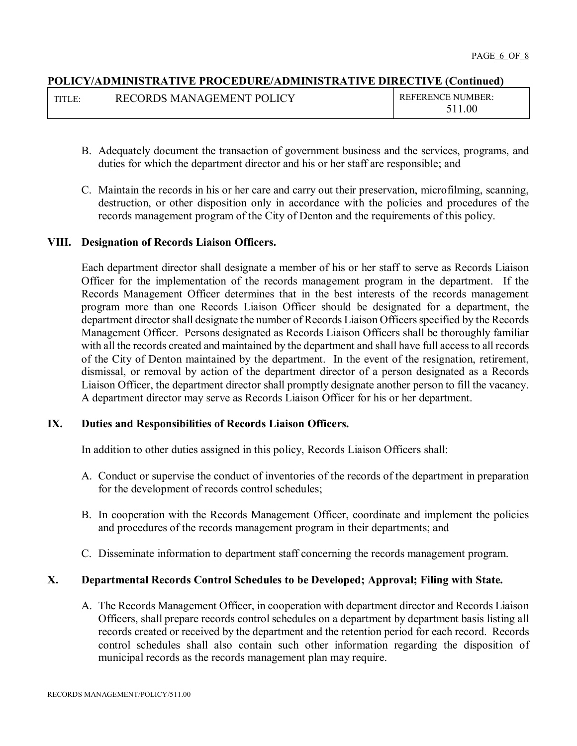| TITLE: | RECORDS MANAGEMENT POLICY | $R$ EFERENCE NUMBER: |
|--------|---------------------------|----------------------|
|        |                           | 1.00<br>511          |

- B. Adequately document the transaction of government business and the services, programs, and duties for which the department director and his or her staff are responsible; and
- C. Maintain the records in his or her care and carry out their preservation, microfilming, scanning, destruction, or other disposition only in accordance with the policies and procedures of the records management program of the City of Denton and the requirements of this policy.

#### **VIII. Designation of Records Liaison Officers.**

Each department director shall designate a member of his or her staff to serve as Records Liaison Officer for the implementation of the records management program in the department. If the Records Management Officer determines that in the best interests of the records management program more than one Records Liaison Officer should be designated for a department, the department director shall designate the number of Records Liaison Officers specified by the Records Management Officer. Persons designated as Records Liaison Officers shall be thoroughly familiar with all the records created and maintained by the department and shall have full access to all records of the City of Denton maintained by the department. In the event of the resignation, retirement, dismissal, or removal by action of the department director of a person designated as a Records Liaison Officer, the department director shall promptly designate another person to fill the vacancy. A department director may serve as Records Liaison Officer for his or her department.

#### **IX. Duties and Responsibilities of Records Liaison Officers.**

In addition to other duties assigned in this policy, Records Liaison Officers shall:

- A. Conduct or supervise the conduct of inventories of the records of the department in preparation for the development of records control schedules;
- B. In cooperation with the Records Management Officer, coordinate and implement the policies and procedures of the records management program in their departments; and
- C. Disseminate information to department staff concerning the records management program.

#### **X. Departmental Records Control Schedules to be Developed; Approval; Filing with State.**

A. The Records Management Officer, in cooperation with department director and Records Liaison Officers, shall prepare records control schedules on a department by department basis listing all records created or received by the department and the retention period for each record. Records control schedules shall also contain such other information regarding the disposition of municipal records as the records management plan may require.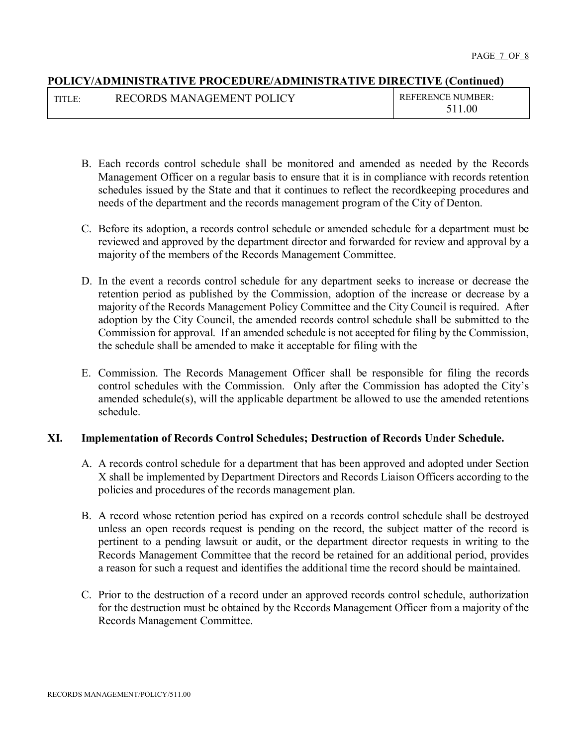| TITI F $\cdot$ | RECORDS MANAGEMENT POLICY | <b>REFERENCE NUMBER:</b> |
|----------------|---------------------------|--------------------------|
|                |                           | .00                      |

- B. Each records control schedule shall be monitored and amended as needed by the Records Management Officer on a regular basis to ensure that it is in compliance with records retention schedules issued by the State and that it continues to reflect the recordkeeping procedures and needs of the department and the records management program of the City of Denton.
- C. Before its adoption, a records control schedule or amended schedule for a department must be reviewed and approved by the department director and forwarded for review and approval by a majority of the members of the Records Management Committee.
- D. In the event a records control schedule for any department seeks to increase or decrease the retention period as published by the Commission, adoption of the increase or decrease by a majority of the Records Management Policy Committee and the City Council is required. After adoption by the City Council, the amended records control schedule shall be submitted to the Commission for approval. If an amended schedule is not accepted for filing by the Commission, the schedule shall be amended to make it acceptable for filing with the
- E. Commission. The Records Management Officer shall be responsible for filing the records control schedules with the Commission. Only after the Commission has adopted the City's amended schedule(s), will the applicable department be allowed to use the amended retentions schedule.

# **XI. Implementation of Records Control Schedules; Destruction of Records Under Schedule.**

- A. A records control schedule for a department that has been approved and adopted under Section X shall be implemented by Department Directors and Records Liaison Officers according to the policies and procedures of the records management plan.
- B. A record whose retention period has expired on a records control schedule shall be destroyed unless an open records request is pending on the record, the subject matter of the record is pertinent to a pending lawsuit or audit, or the department director requests in writing to the Records Management Committee that the record be retained for an additional period, provides a reason for such a request and identifies the additional time the record should be maintained.
- C. Prior to the destruction of a record under an approved records control schedule, authorization for the destruction must be obtained by the Records Management Officer from a majority of the Records Management Committee.